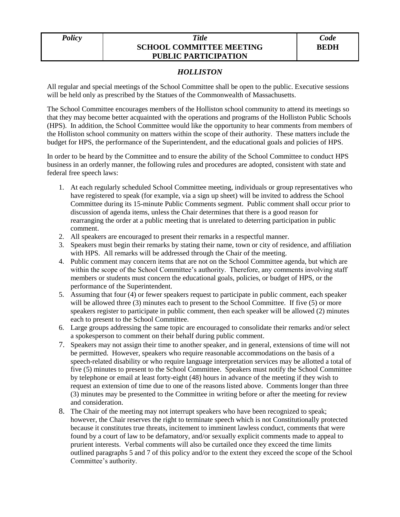## *Policy Title* **SCHOOL COMMITTEE MEETING PUBLIC PARTICIPATION**

## *HOLLISTON*

All regular and special meetings of the School Committee shall be open to the public. Executive sessions will be held only as prescribed by the Statues of the Commonwealth of Massachusetts.

The School Committee encourages members of the Holliston school community to attend its meetings so that they may become better acquainted with the operations and programs of the Holliston Public Schools (HPS). In addition, the School Committee would like the opportunity to hear comments from members of the Holliston school community on matters within the scope of their authority. These matters include the budget for HPS, the performance of the Superintendent, and the educational goals and policies of HPS.

In order to be heard by the Committee and to ensure the ability of the School Committee to conduct HPS business in an orderly manner, the following rules and procedures are adopted, consistent with state and federal free speech laws:

- 1. At each regularly scheduled School Committee meeting, individuals or group representatives who have registered to speak (for example, via a sign up sheet) will be invited to address the School Committee during its 15-minute Public Comments segment. Public comment shall occur prior to discussion of agenda items, unless the Chair determines that there is a good reason for rearranging the order at a public meeting that is unrelated to deterring participation in public comment.
- 2. All speakers are encouraged to present their remarks in a respectful manner.
- 3. Speakers must begin their remarks by stating their name, town or city of residence, and affiliation with HPS. All remarks will be addressed through the Chair of the meeting.
- 4. Public comment may concern items that are not on the School Committee agenda, but which are within the scope of the School Committee's authority. Therefore, any comments involving staff members or students must concern the educational goals, policies, or budget of HPS, or the performance of the Superintendent.
- 5. Assuming that four (4) or fewer speakers request to participate in public comment, each speaker will be allowed three (3) minutes each to present to the School Committee. If five (5) or more speakers register to participate in public comment, then each speaker will be allowed (2) minutes each to present to the School Committee.
- 6. Large groups addressing the same topic are encouraged to consolidate their remarks and/or select a spokesperson to comment on their behalf during public comment.
- 7. Speakers may not assign their time to another speaker, and in general, extensions of time will not be permitted. However, speakers who require reasonable accommodations on the basis of a speech-related disability or who require language interpretation services may be allotted a total of five (5) minutes to present to the School Committee. Speakers must notify the School Committee by telephone or email at least forty-eight (48) hours in advance of the meeting if they wish to request an extension of time due to one of the reasons listed above. Comments longer than three (3) minutes may be presented to the Committee in writing before or after the meeting for review and consideration.
- 8. The Chair of the meeting may not interrupt speakers who have been recognized to speak; however, the Chair reserves the right to terminate speech which is not Constitutionally protected because it constitutes true threats, incitement to imminent lawless conduct, comments that were found by a court of law to be defamatory, and/or sexually explicit comments made to appeal to prurient interests. Verbal comments will also be curtailed once they exceed the time limits outlined paragraphs 5 and 7 of this policy and/or to the extent they exceed the scope of the School Committee's authority.